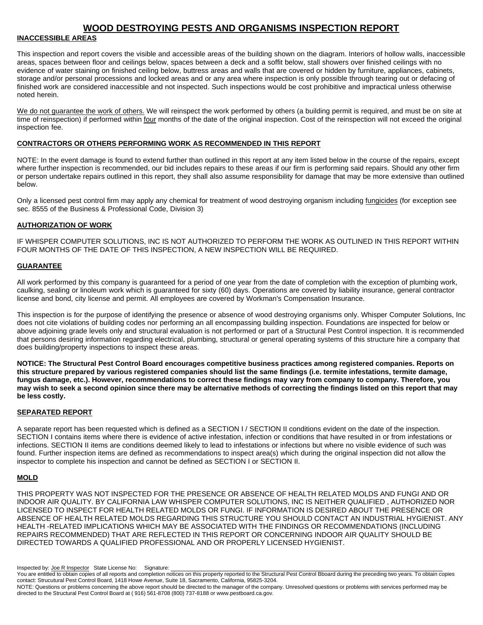#### **WOOD DESTROYING PESTS AND ORGANISMS INSPECTION REPORT**

#### .**INACCESSIBLE AREAS**

This inspection and report covers the visible and accessible areas of the building shown on the diagram. Interiors of hollow walls, inaccessible areas, spaces between floor and ceilings below, spaces between a deck and a soffit below, stall showers over finished ceilings with no evidence of water staining on finished ceiling below, buttress areas and walls that are covered or hidden by furniture, appliances, cabinets, storage and/or personal processions and locked areas and or any area where inspection is only possible through tearing out or defacing of finished work are considered inaccessible and not inspected. Such inspections would be cost prohibitive and impractical unless otherwise noted herein.

We do not guarantee the work of others. We will reinspect the work performed by others (a building permit is required, and must be on site at time of reinspection) if performed within four months of the date of the original inspection. Cost of the reinspection will not exceed the original inspection fee.

#### **CONTRACTORS OR OTHERS PERFORMING WORK AS RECOMMENDED IN THIS REPORT**

NOTE: In the event damage is found to extend further than outlined in this report at any item listed below in the course of the repairs, except where further inspection is recommended, our bid includes repairs to these areas if our firm is performing said repairs. Should any other firm or person undertake repairs outlined in this report, they shall also assume responsibility for damage that may be more extensive than outlined below.

Only a licensed pest control firm may apply any chemical for treatment of wood destroying organism including fungicides (for exception see sec. 8555 of the Business & Professional Code, Division 3)

#### **AUTHORIZATION OF WORK**

IF WHISPER COMPUTER SOLUTIONS, INC IS NOT AUTHORIZED TO PERFORM THE WORK AS OUTLINED IN THIS REPORT WITHIN FOUR MONTHS OF THE DATE OF THIS INSPECTION, A NEW INSPECTION WILL BE REQUIRED.

#### **GUARANTEE**

All work performed by this company is guaranteed for a period of one year from the date of completion with the exception of plumbing work, caulking, sealing or linoleum work which is guaranteed for sixty (60) days. Operations are covered by liability insurance, general contractor license and bond, city license and permit. All employees are covered by Workman's Compensation Insurance.

This inspection is for the purpose of identifying the presence or absence of wood destroying organisms only. Whisper Computer Solutions, Inc does not cite violations of building codes nor performing an all encompassing building inspection. Foundations are inspected for below or above adjoining grade levels only and structural evaluation is not performed or part of a Structural Pest Control inspection. It is recommended that persons desiring information regarding electrical, plumbing, structural or general operating systems of this structure hire a company that does building/property inspections to inspect these areas.

**NOTICE: The Structural Pest Control Board encourages competitive business practices among registered companies. Reports on this structure prepared by various registered companies should list the same findings (i.e. termite infestations, termite damage, fungus damage, etc.). However, recommendations to correct these findings may vary from company to company. Therefore, you may wish to seek a second opinion since there may be alternative methods of correcting the findings listed on this report that may be less costly.**

#### **SEPARATED REPORT**

A separate report has been requested which is defined as a SECTION I / SECTION II conditions evident on the date of the inspection. SECTION I contains items where there is evidence of active infestation, infection or conditions that have resulted in or from infestations or infections. SECTION II items are conditions deemed likely to lead to infestations or infections but where no visible evidence of such was found. Further inspection items are defined as recommendations to inspect area(s) which during the original inspection did not allow the inspector to complete his inspection and cannot be defined as SECTION I or SECTION II.

#### **MOLD**

THIS PROPERTY WAS NOT INSPECTED FOR THE PRESENCE OR ABSENCE OF HEALTH RELATED MOLDS AND FUNGI AND OR INDOOR AIR QUALITY. BY CALIFORNIA LAW WHISPER COMPUTER SOLUTIONS, INC IS NEITHER QUALIFIED , AUTHORIZED NOR LICENSED TO INSPECT FOR HEALTH RELATED MOLDS OR FUNGI. IF INFORMATION IS DESIRED ABOUT THE PRESENCE OR ABSENCE OF HEALTH RELATED MOLDS REGARDING THIS STRUCTURE YOU SHOULD CONTACT AN INDUSTRIAL HYGIENIST. ANY HEALTH -RELATED IMPLICATIONS WHICH MAY BE ASSOCIATED WITH THE FINDINGS OR RECOMMENDATIONS (INCLUDING REPAIRS RECOMMENDED) THAT ARE REFLECTED IN THIS REPORT OR CONCERNING INDOOR AIR QUALITY SHOULD BE DIRECTED TOWARDS A QUALIFIED PROFESSIONAL AND OR PROPERLY LICENSED HYGIENIST.

Inspected by: Joe R Inspector State License No: Signature:

You are entitled to obtain copies of all reports and completion notices on this property reported to the Structural Pest Control Bboard during the preceding two years. To obtain copies contact: Strucutural Pest Control Board, 1418 Howe Avenue, Suite 18, Sacramento, California, 95825-3204.

NOTE: Questions or problems concerning the above report should be directed to the manager of the company. Unresolved questions or problems with services performed may be directed to the Structural Pest Control Board at ( 916) 561-8708 (800) 737-8188 or www.pestboard.ca.gov.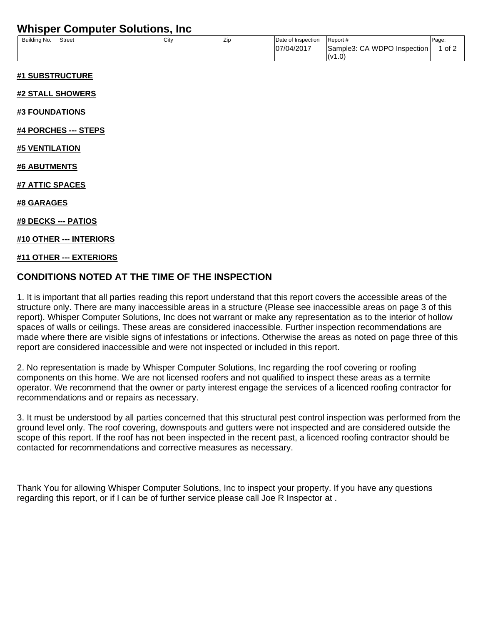## **Whisper Computer Solutions, Inc**

| Building No. | <b>Street</b> | City | Zip | Date of Inspection | Report #                    | Page: |
|--------------|---------------|------|-----|--------------------|-----------------------------|-------|
|              |               |      |     | 07/04/2017         | Sample3: CA WDPO Inspection | of 2  |
|              |               |      |     |                    | I(v1.0)                     |       |

#### **#1 SUBSTRUCTURE**

#### **#2 STALL SHOWERS**

**#3 FOUNDATIONS**

**#4 PORCHES --- STEPS**

**#5 VENTILATION**

**#6 ABUTMENTS**

**#7 ATTIC SPACES**

**#8 GARAGES**

**#9 DECKS --- PATIOS**

#### **#10 OTHER --- INTERIORS**

#### **#11 OTHER --- EXTERIORS**

### **CONDITIONS NOTED AT THE TIME OF THE INSPECTION**

1. It is important that all parties reading this report understand that this report covers the accessible areas of the structure only. There are many inaccessible areas in a structure (Please see inaccessible areas on page 3 of this report). Whisper Computer Solutions, Inc does not warrant or make any representation as to the interior of hollow spaces of walls or ceilings. These areas are considered inaccessible. Further inspection recommendations are made where there are visible signs of infestations or infections. Otherwise the areas as noted on page three of this report are considered inaccessible and were not inspected or included in this report.

2. No representation is made by Whisper Computer Solutions, Inc regarding the roof covering or roofing components on this home. We are not licensed roofers and not qualified to inspect these areas as a termite operator. We recommend that the owner or party interest engage the services of a licenced roofing contractor for recommendations and or repairs as necessary.

3. It must be understood by all parties concerned that this structural pest control inspection was performed from the ground level only. The roof covering, downspouts and gutters were not inspected and are considered outside the scope of this report. If the roof has not been inspected in the recent past, a licenced roofing contractor should be contacted for recommendations and corrective measures as necessary.

Thank You for allowing Whisper Computer Solutions, Inc to inspect your property. If you have any questions regarding this report, or if I can be of further service please call Joe R Inspector at .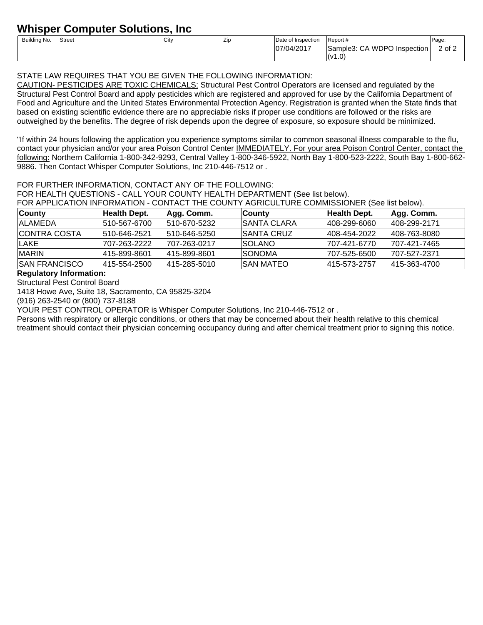# **Whisper Computer Solutions, Inc**

| Building No. | <b>Street</b> | City | Zir | Date of Inspection | Report#                               | Page:  |
|--------------|---------------|------|-----|--------------------|---------------------------------------|--------|
|              |               |      |     | 07/04/2017         | Sample3: CA WDPO<br><b>Inspection</b> | 2 of 2 |
|              |               |      |     |                    | l(v1.0)                               |        |

### STATE LAW REQUIRES THAT YOU BE GIVEN THE FOLLOWING INFORMATION:

CAUTION- PESTICIDES ARE TOXIC CHEMICALS: Structural Pest Control Operators are licensed and regulated by the Structural Pest Control Board and apply pesticides which are registered and approved for use by the California Department of Food and Agriculture and the United States Environmental Protection Agency. Registration is granted when the State finds that based on existing scientific evidence there are no appreciable risks if proper use conditions are followed or the risks are outweighed by the benefits. The degree of risk depends upon the degree of exposure, so exposure should be minimized.

"If within 24 hours following the application you experience symptoms similar to common seasonal illness comparable to the flu, contact your physician and/or your area Poison Control Center IMMEDIATELY. For your area Poison Control Center, contact the following: Northern California 1-800-342-9293, Central Valley 1-800-346-5922, North Bay 1-800-523-2222, South Bay 1-800-662- 9886. Then Contact Whisper Computer Solutions, Inc 210-446-7512 or .

#### FOR FURTHER INFORMATION, CONTACT ANY OF THE FOLLOWING:

FOR HEALTH QUESTIONS - CALL YOUR COUNTY HEALTH DEPARTMENT (See list below).

FOR APPLICATION INFORMATION - CONTACT THE COUNTY AGRICULTURE COMMISSIONER (See list below).

| <b>County</b>         | Health Dept. | Agg. Comm.   | <b>County</b>  | Health Dept. | Agg. Comm.   |
|-----------------------|--------------|--------------|----------------|--------------|--------------|
| IALAMEDA              | 510-567-6700 | 510-670-5232 | ISANTA CLARA   | 408-299-6060 | 408-299-2171 |
| ICONTRA COSTA         | 510-646-2521 | 510-646-5250 | ISANTA CRUZ    | 408-454-2022 | 408-763-8080 |
| ILAKE.                | 707-263-2222 | 707-263-0217 | ISOLANO.       | 707-421-6770 | 707-421-7465 |
| <b>IMARIN</b>         | 415-899-8601 | 415-899-8601 | <b>ISONOMA</b> | 707-525-6500 | 707-527-2371 |
| <b>ISAN FRANCISCO</b> | 415-554-2500 | 415-285-5010 | ISAN MATEO     | 415-573-2757 | 415-363-4700 |

#### **Regulatory Information:**

Structural Pest Control Board

1418 Howe Ave, Suite 18, Sacramento, CA 95825-3204

(916) 263-2540 or (800) 737-8188

YOUR PEST CONTROL OPERATOR is Whisper Computer Solutions, Inc 210-446-7512 or .

Persons with respiratory or allergic conditions, or others that may be concerned about their health relative to this chemical treatment should contact their physician concerning occupancy during and after chemical treatment prior to signing this notice.